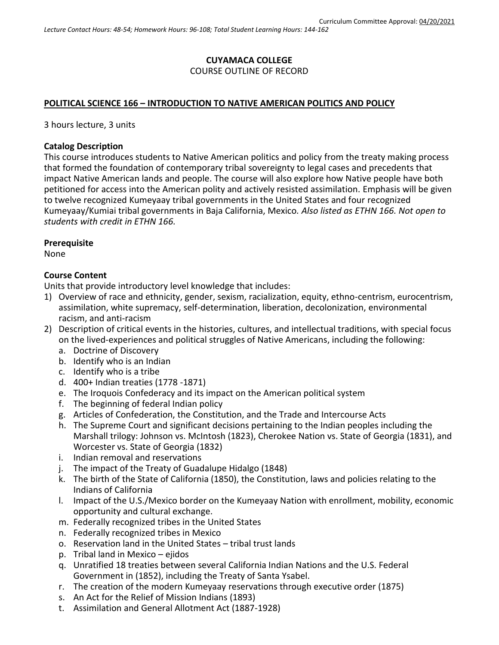### **CUYAMACA COLLEGE** COURSE OUTLINE OF RECORD

#### **POLITICAL SCIENCE 166 – INTRODUCTION TO NATIVE AMERICAN POLITICS AND POLICY**

3 hours lecture, 3 units

#### **Catalog Description**

This course introduces students to Native American politics and policy from the treaty making process that formed the foundation of contemporary tribal sovereignty to legal cases and precedents that impact Native American lands and people. The course will also explore how Native people have both petitioned for access into the American polity and actively resisted assimilation. Emphasis will be given to twelve recognized Kumeyaay tribal governments in the United States and four recognized Kumeyaay/Kumiai tribal governments in Baja California, Mexico*. Also listed as ETHN 166. Not open to students with credit in ETHN 166.*

#### **Prerequisite**

None

#### **Course Content**

Units that provide introductory level knowledge that includes:

- 1) Overview of race and ethnicity, gender, sexism, racialization, equity, ethno-centrism, eurocentrism, assimilation, white supremacy, self-determination, liberation, decolonization, environmental racism, and anti-racism
- 2) Description of critical events in the histories, cultures, and intellectual traditions, with special focus on the lived-experiences and political struggles of Native Americans, including the following:
	- a. Doctrine of Discovery
	- b. Identify who is an Indian
	- c. Identify who is a tribe
	- d. 400+ Indian treaties (1778 -1871)
	- e. The Iroquois Confederacy and its impact on the American political system
	- f. The beginning of federal Indian policy
	- g. Articles of Confederation, the Constitution, and the Trade and Intercourse Acts
	- h. The Supreme Court and significant decisions pertaining to the Indian peoples including the Marshall trilogy: Johnson vs. McIntosh (1823), Cherokee Nation vs. State of Georgia (1831), and Worcester vs. State of Georgia (1832)
	- i. Indian removal and reservations
	- j. The impact of the Treaty of Guadalupe Hidalgo (1848)
	- k. The birth of the State of California (1850), the Constitution, laws and policies relating to the Indians of California
	- l. Impact of the U.S./Mexico border on the Kumeyaay Nation with enrollment, mobility, economic opportunity and cultural exchange.
	- m. Federally recognized tribes in the United States
	- n. Federally recognized tribes in Mexico
	- o. Reservation land in the United States tribal trust lands
	- p. Tribal land in Mexico ejidos
	- q. Unratified 18 treaties between several California Indian Nations and the U.S. Federal Government in (1852), including the Treaty of Santa Ysabel.
	- r. The creation of the modern Kumeyaay reservations through executive order (1875)
	- s. An Act for the Relief of Mission Indians (1893)
	- t. Assimilation and General Allotment Act (1887-1928)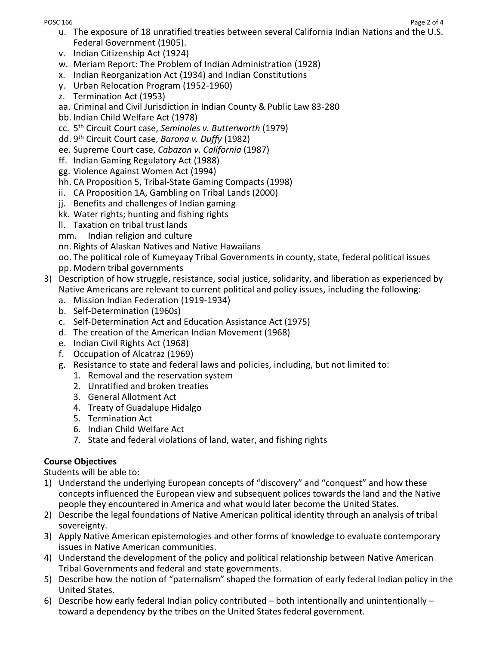POSC 166 Page 2 of 4

- u. The exposure of 18 unratified treaties between several California Indian Nations and the U.S. Federal Government (1905).
- v. Indian Citizenship Act (1924)
- w. Meriam Report: The Problem of Indian Administration (1928)
- x. Indian Reorganization Act (1934) and Indian Constitutions
- y. Urban Relocation Program (1952-1960)
- z. Termination Act (1953)
- aa. Criminal and Civil Jurisdiction in Indian County & Public Law 83-280
- bb. Indian Child Welfare Act (1978)
- cc. 5 th Circuit Court case, *Seminoles v. Butterworth* (1979)
- dd. 9 th Circuit Court case, *Barona v. Duffy* (1982)
- ee. Supreme Court case, *Cabazon v. California* (1987)
- ff. Indian Gaming Regulatory Act (1988)
- gg. Violence Against Women Act (1994)
- hh. CA Proposition 5, Tribal-State Gaming Compacts (1998)
- ii. CA Proposition 1A, Gambling on Tribal Lands (2000)
- jj. Benefits and challenges of Indian gaming
- kk. Water rights; hunting and fishing rights
- ll. Taxation on tribal trust lands
- mm. Indian religion and culture
- nn. Rights of Alaskan Natives and Native Hawaiians

oo. The political role of Kumeyaay Tribal Governments in county, state, federal political issues pp. Modern tribal governments

- 3) Description of how struggle, resistance, social justice, solidarity, and liberation as experienced by Native Americans are relevant to current political and policy issues, including the following:
	- a. Mission Indian Federation (1919-1934)
	- b. Self-Determination (1960s)
	- c. Self-Determination Act and Education Assistance Act (1975)
	- d. The creation of the American Indian Movement (1968)
	- e. Indian Civil Rights Act (1968)
	- f. Occupation of Alcatraz (1969)
	- g. Resistance to state and federal laws and policies, including, but not limited to:
		- 1. Removal and the reservation system
		- 2. Unratified and broken treaties
		- 3. General Allotment Act
		- 4. Treaty of Guadalupe Hidalgo
		- 5. Termination Act
		- 6. Indian Child Welfare Act
		- 7. State and federal violations of land, water, and fishing rights

# **Course Objectives**

Students will be able to:

- 1) Understand the underlying European concepts of "discovery" and "conquest" and how these concepts influenced the European view and subsequent polices towards the land and the Native people they encountered in America and what would later become the United States.
- 2) Describe the legal foundations of Native American political identity through an analysis of tribal sovereignty.
- 3) Apply Native American epistemologies and other forms of knowledge to evaluate contemporary issues in Native American communities.
- 4) Understand the development of the policy and political relationship between Native American Tribal Governments and federal and state governments.
- 5) Describe how the notion of "paternalism" shaped the formation of early federal Indian policy in the United States.
- 6) Describe how early federal Indian policy contributed both intentionally and unintentionally toward a dependency by the tribes on the United States federal government.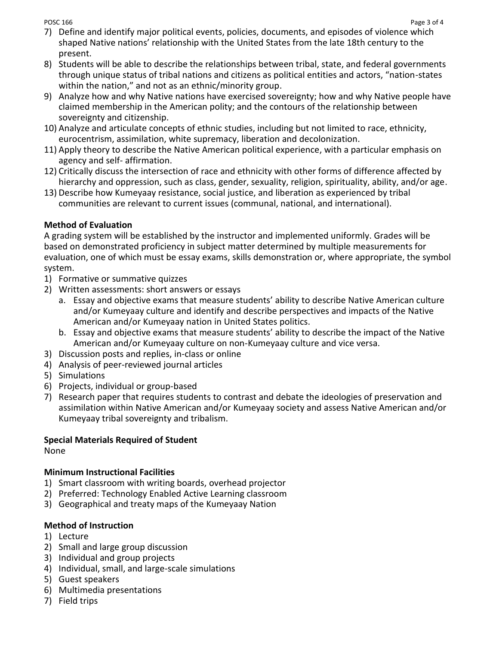- 7) Define and identify major political events, policies, documents, and episodes of violence which shaped Native nations' relationship with the United States from the late 18th century to the present.
- 8) Students will be able to describe the relationships between tribal, state, and federal governments through unique status of tribal nations and citizens as political entities and actors, "nation-states within the nation," and not as an ethnic/minority group.
- 9) Analyze how and why Native nations have exercised sovereignty; how and why Native people have claimed membership in the American polity; and the contours of the relationship between sovereignty and citizenship.
- 10) Analyze and articulate concepts of ethnic studies, including but not limited to race, ethnicity, eurocentrism, assimilation, white supremacy, liberation and decolonization.
- 11) Apply theory to describe the Native American political experience, with a particular emphasis on agency and self- affirmation.
- 12) Critically discuss the intersection of race and ethnicity with other forms of difference affected by hierarchy and oppression, such as class, gender, sexuality, religion, spirituality, ability, and/or age.
- 13) Describe how Kumeyaay resistance, social justice, and liberation as experienced by tribal communities are relevant to current issues (communal, national, and international).

## **Method of Evaluation**

A grading system will be established by the instructor and implemented uniformly. Grades will be based on demonstrated proficiency in subject matter determined by multiple measurements for evaluation, one of which must be essay exams, skills demonstration or, where appropriate, the symbol system.

- 1) Formative or summative quizzes
- 2) Written assessments: short answers or essays
	- a. Essay and objective exams that measure students' ability to describe Native American culture and/or Kumeyaay culture and identify and describe perspectives and impacts of the Native American and/or Kumeyaay nation in United States politics.
	- b. Essay and objective exams that measure students' ability to describe the impact of the Native American and/or Kumeyaay culture on non-Kumeyaay culture and vice versa.
- 3) Discussion posts and replies, in-class or online
- 4) Analysis of peer-reviewed journal articles
- 5) Simulations
- 6) Projects, individual or group-based
- 7) Research paper that requires students to contrast and debate the ideologies of preservation and assimilation within Native American and/or Kumeyaay society and assess Native American and/or Kumeyaay tribal sovereignty and tribalism.

## **Special Materials Required of Student**

None

## **Minimum Instructional Facilities**

- 1) Smart classroom with writing boards, overhead projector
- 2) Preferred: Technology Enabled Active Learning classroom
- 3) Geographical and treaty maps of the Kumeyaay Nation

## **Method of Instruction**

- 1) Lecture
- 2) Small and large group discussion
- 3) Individual and group projects
- 4) Individual, small, and large-scale simulations
- 5) Guest speakers
- 6) Multimedia presentations
- 7) Field trips